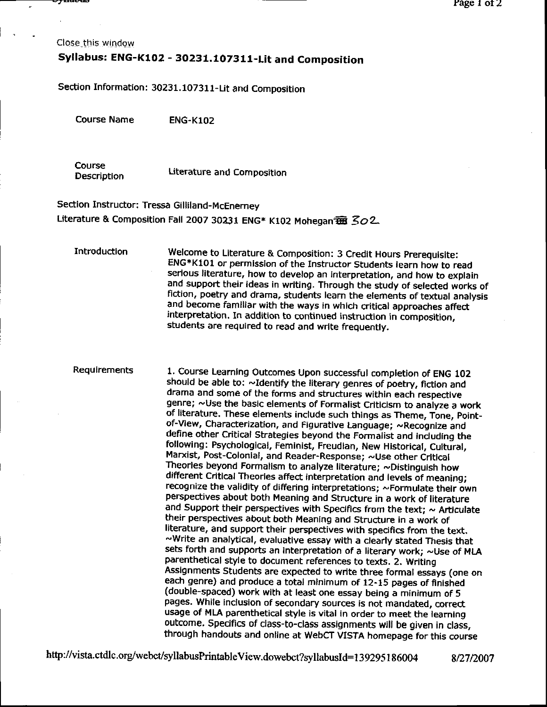Close this window

# Syllabus: ENG-K102 - 30231.107311-Lit and Composition

Section Information: 30231.107311-Lit and Composition

**Course Name ENG-K102** 

Course **Description** 

Literature and Composition

Section Instructor: Tressa Gilliland-McEnerney Literature & Composition Fall 2007 30231 ENG\* K102 Mohegan B 302.

**Introduction** Welcome to Literature & Composition: 3 Credit Hours Prerequisite: ENG\*K101 or permission of the Instructor Students learn how to read serious literature, how to develop an interpretation, and how to explain and support their ideas in writing. Through the study of selected works of fiction, poetry and drama, students learn the elements of textual analysis and become familiar with the ways in which critical approaches affect interpretation. In addition to continued instruction in composition. students are required to read and write frequently.

**Requirements** 

1. Course Learning Outcomes Upon successful completion of ENG 102 should be able to: ~Identify the literary genres of poetry, fiction and drama and some of the forms and structures within each respective genre; ~Use the basic elements of Formalist Criticism to analyze a work of literature. These elements include such things as Theme, Tone, Pointof-View, Characterization, and Figurative Language; ~Recognize and define other Critical Strategies beyond the Formalist and including the following: Psychological, Feminist, Freudian, New Historical, Cultural, Marxist, Post-Colonial, and Reader-Response; ~Use other Critical Theories beyond Formalism to analyze literature; ~Distinguish how different Critical Theories affect interpretation and levels of meaning; recognize the validity of differing interpretations; ~Formulate their own perspectives about both Meaning and Structure in a work of literature and Support their perspectives with Specifics from the text;  $\sim$  Articulate their perspectives about both Meaning and Structure in a work of literature, and support their perspectives with specifics from the text. ~Write an analytical, evaluative essay with a clearly stated Thesis that sets forth and supports an interpretation of a literary work; ~Use of MLA parenthetical style to document references to texts. 2. Writing Assignments Students are expected to write three formal essays (one on each genre) and produce a total minimum of 12-15 pages of finished (double-spaced) work with at least one essay being a minimum of 5 pages. While inclusion of secondary sources is not mandated, correct usage of MLA parenthetical style is vital in order to meet the learning outcome. Specifics of class-to-class assignments will be given in class, through handouts and online at WebCT VISTA homepage for this course

http://vista.ctdlc.org/webct/syllabusPrintableView.dowebct?syllabusId=139295186004

8/27/2007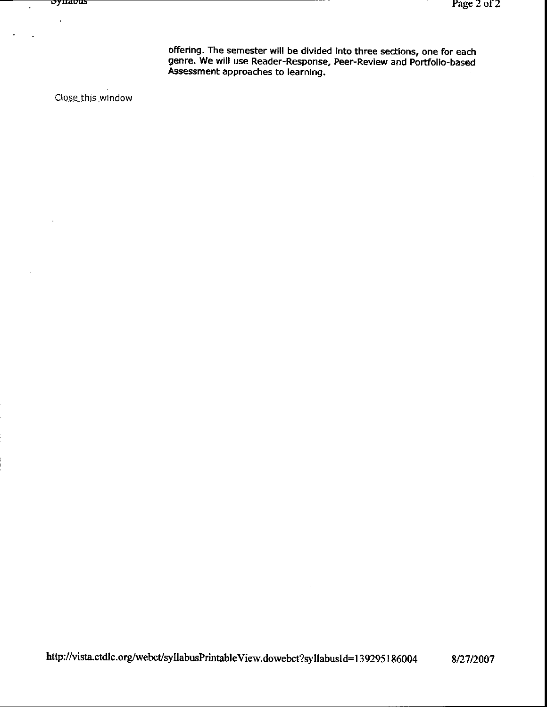offering. The semester will be divided Into three secflons, one for each genre. We will use Reader-Response, Peer-Review and Portfolio-based Assessment approaches to learning.

Close this window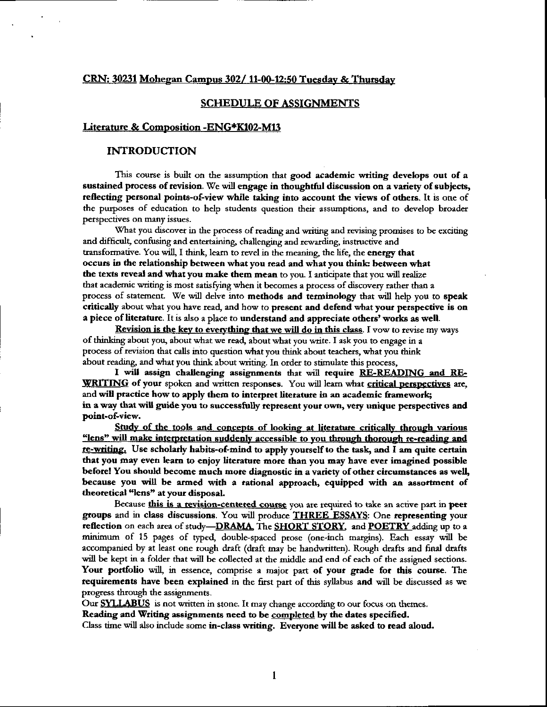#### CRN: 30231 Mohegan Campus 302/11-00-12:50 Tuesday & Thursday

#### **SCHEDULE OF ASSIGNMENTS**

#### Literature & Composition - ENG\*K102-M13

#### **INTRODUCTION**

This course is built on the assumption that good academic writing develops out of a sustained process of revision. We will engage in thoughtful discussion on a variety of subjects, reflecting personal points-of-view while taking into account the views of others. It is one of the purposes of education to help students question their assumptions, and to develop broader perspectives on many issues.

What you discover in the process of reading and writing and revising promises to be exciting and difficult, confusing and entertaining, challenging and rewarding, instructive and transformative. You will, I think, learn to revel in the meaning, the life, the energy that occurs in the relationship between what you read and what you think: between what the texts reveal and what you make them mean to you. I anticipate that you will realize that academic writing is most satisfying when it becomes a process of discovery rather than a process of statement. We will delve into methods and terminology that will help you to speak critically about what you have read, and how to present and defend what your perspective is on a piece of literature. It is also a place to understand and appreciate others' works as well.

Revision is the key to everything that we will do in this class. I vow to revise my ways of thinking about you, about what we read, about what you write. I ask you to engage in a process of revision that calls into question what you think about teachers, what you think about reading, and what you think about writing. In order to stimulate this process,

I will assign challenging assignments that will require RE-READING and RE-WRITING of your spoken and written responses. You will learn what critical perspectives are, and will practice how to apply them to interpret literature in an academic framework; in a way that will guide you to successfully represent your own, very unique perspectives and point-of-view.

Study of the tools and concepts of looking at literature critically through various "lens" will make interpretation suddenly accessible to you through thorough re-reading and re-writing. Use scholarly habits-of-mind to apply yourself to the task, and I am quite certain that you may even learn to enjoy literature more than you may have ever imagined possible before! You should become much more diagnostic in a variety of other circumstances as well, because you will be armed with a rational approach, equipped with an assortment of theoretical "lens" at your disposal.

Because this is a revision-centered course you are required to take an active part in peer groups and in class discussions. You will produce THREE ESSAYS: One representing your reflection on each area of study-DRAMA, The SHORT STORY, and POETRY adding up to a minimum of 15 pages of typed, double-spaced prose (one-inch margins). Each essay will be accompanied by at least one rough draft (draft may be handwritten). Rough drafts and final drafts will be kept in a folder that will be collected at the middle and end of each of the assigned sections. Your portfolio will, in essence, comprise a major part of your grade for this course. The requirements have been explained in the first part of this syllabus and will be discussed as we progress through the assignments.

Our **SYLLABUS** is not written in stone. It may change according to our focus on themes.

Reading and Writing assignments need to be completed by the dates specified.

Class time will also include some in-class writing. Everyone will be asked to read aloud.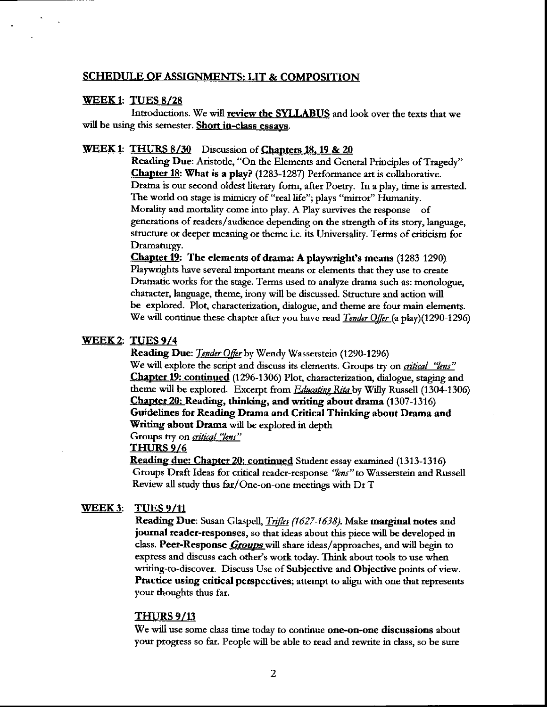#### **SCHEDULE OF ASSIGNMENTS: LIT & COMPOSITION**

#### WEEK1: TUES  $8/28$

Introductions. We will review the SYLLABUS and look over the texts that we will be using this semester. Short in-class essays.

### WEEK 1: THURS 8/30 Discussion of Chapters 18, 19 & 20

Reading Due: Aristotle, "On the Elements and General Principles of Tragedy" **Chapter 18: What is a play?** (1283-1287) Performance art is collaborative. Drama is our second oldest literary form, after Poetry. In a play, time is arrested. The world on stage is mimicry of "real life"; plays "mirror" Humanity. Morality and mortality come into play. A Play survives the response of generations of readers/audience depending on the strength of its story, language, structure or deeper meaning or theme i.e. its Universality. Terms of criticism for Dramaturgy.

**Chapter 19:** The elements of drama: A playwright's means (1283-1290). Playwrights have several important means or elements that they use to create Dramatic works for the stage. Terms used to analyze drama such as: monologue, character, language, theme, irony will be discussed. Structure and action will be explored. Plot, characterization, dialogue, and theme are four main elements. We will continue these chapter after you have read *Tender Offer* (a play)(1290-1296)

#### WEEK 2: TUES 9/4

Reading Due: Tender Offer by Wendy Wasserstein (1290-1296)

We will explore the script and discuss its elements. Groups try on *critical "lens"* Chapter 19: continued (1296-1306) Plot, characterization, dialogue, staging and theme will be explored. Excerpt from *Educating Rita* by Willy Russell (1304-1306) Chapter 20: Reading, thinking, and writing about drama (1307-1316) Guidelines for Reading Drama and Critical Thinking about Drama and Writing about Drama will be explored in depth

Groups try on *critical "lens"* 

#### THURS 9/6

**Reading due: Chapter 20: continued** Student essay examined (1313-1316) Groups Draft Ideas for critical reader-response "lens" to Wasserstein and Russell Review all study thus far/One-on-one meetings with Dr T

#### WEEK 3: **TUES 9/11**

Reading Due: Susan Glaspell, *Trifles (1627-1638)*. Make marginal notes and journal reader-responses, so that ideas about this piece will be developed in class. Peer-Response *Groups* will share ideas/approaches, and will begin to express and discuss each other's work today. Think about tools to use when writing-to-discover. Discuss Use of Subjective and Objective points of view. Practice using critical perspectives; attempt to align with one that represents your thoughts thus far.

#### **THURS 9/13**

We will use some class time today to continue one-on-one discussions about your progress so far. People will be able to read and rewrite in class, so be sure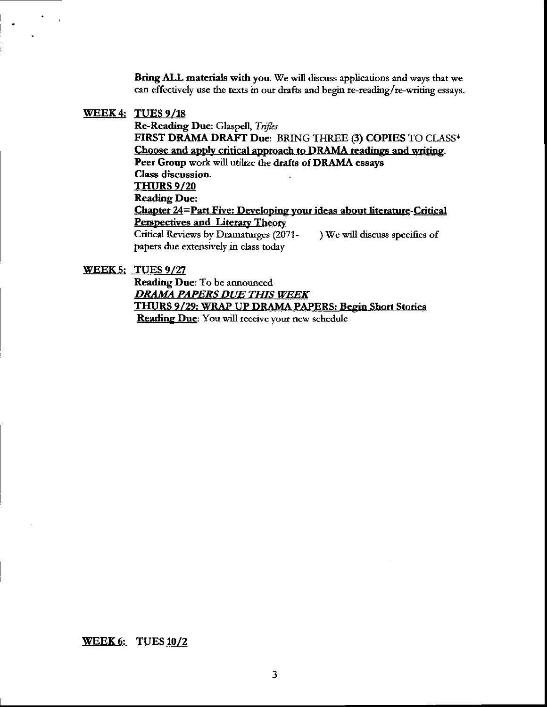Bring ALL materials with you. We will discuss applications and ways that we can effectively use the texts in our drafts and begin te-reading/re-writing essays.

#### WEEK4: TUES 9,/18

Re-Reading Due: Glaspell, Trifles FIRST DRAMA DRAFT Due: BRING THREE (3) COPIES TO CIASS\* Choose and apply critical approach to DRAMA readings and writing. Peer Group work will utilize the drafts of DRAMA essays Class discussion. THURS 9/20 Reading Due: Chapter 24=Part Five: Developing your ideas about literature-Critical Perspectives and Literary Theory Critical Reviews by Dramaturges (2071- $\qquad$ ) We will discuss specifics of papers due extensively in class today

WEEK 5: TUES 9/27

Reading Due: To be announced DRAMA PAPERS DUE THIS WEEK THURS 9/29: WRAP UP DRAMA PAPERS: Begin Short Stories **Reading Due**: You will receive your new schedule

VEEK6: TUES 10/2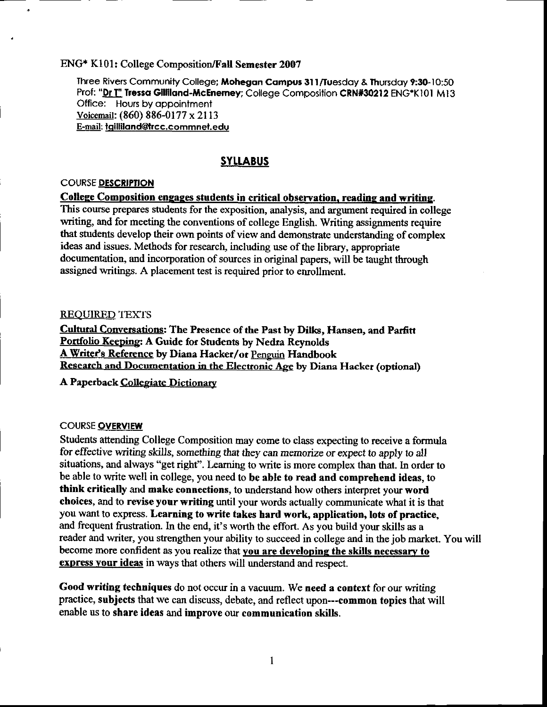## ENG\* K101: College Composition/Fall Semester 2007

Three Rivers Community College; Mohegan Campus 311/Tuesday & Thursday 9:30-10:50 Prof: "Dr T" Tressa Gilliland-McEnerney; College Composition CRN#30212 ENG\*K101 M13 Office: Hours by appointment Voicemail: (860) 886-0177 x 2113 E-mail: tgilliland@trcc.commnet.edu

## **SYLLABUS**

## **COURSE DESCRIPTION**

#### College Composition engages students in critical observation, reading and writing.

This course prepares students for the exposition, analysis, and argument required in college writing, and for meeting the conventions of college English. Writing assignments require that students develop their own points of view and demonstrate understanding of complex ideas and issues. Methods for research, including use of the library, appropriate documentation, and incorporation of sources in original papers, will be taught through assigned writings. A placement test is required prior to enrollment.

#### **REQUIRED TEXTS**

Cultural Conversations: The Presence of the Past by Dilks, Hansen, and Parfitt Portfolio Keeping: A Guide for Students by Nedra Reynolds A Writer's Reference by Diana Hacker/or Penguin Handbook Research and Documentation in the Electronic Age by Diana Hacker (optional)

A Paperback Collegiate Dictionary

#### **COURSE OVERVIEW**

Students attending College Composition may come to class expecting to receive a formula for effective writing skills, something that they can memorize or expect to apply to all situations, and always "get right". Learning to write is more complex than that. In order to be able to write well in college, you need to be able to read and comprehend ideas, to think critically and make connections, to understand how others interpret your word choices, and to revise your writing until your words actually communicate what it is that you want to express. Learning to write takes hard work, application, lots of practice, and frequent frustration. In the end, it's worth the effort. As you build your skills as a reader and writer, you strengthen your ability to succeed in college and in the job market. You will become more confident as you realize that you are developing the skills necessary to express your ideas in ways that others will understand and respect.

Good writing techniques do not occur in a vacuum. We need a context for our writing practice, subjects that we can discuss, debate, and reflect upon---common topics that will enable us to share ideas and improve our communication skills.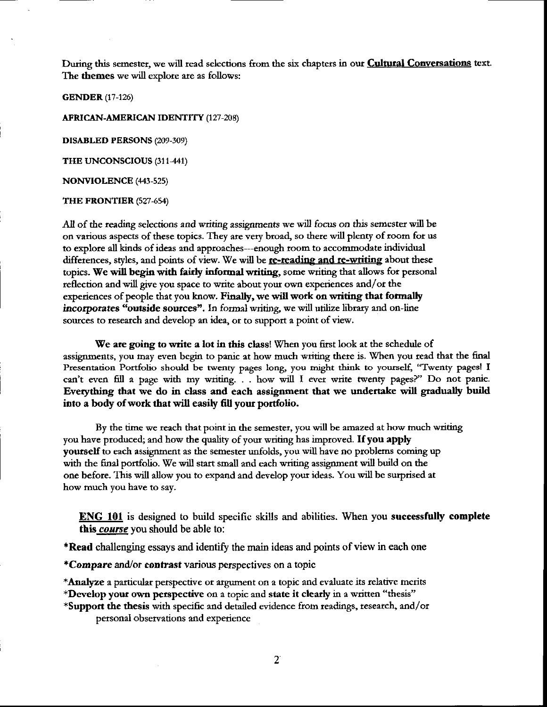During this semester, we will read selections from the six chapters in our **Cultural Conversations** text. The themes we will explore are as follows:

**GENDER** (17-126)

**AFRICAN-AMERICAN IDENTITY (127-208)** 

**DISABLED PERSONS (209-309)** 

THE UNCONSCIOUS (311-441)

**NONVIOLENCE** (443-525)

THE FRONTIER (527-654)

All of the reading selections and writing assignments we will focus on this semester will be on various aspects of these topics. They are very broad, so there will plenty of room for us to explore all kinds of ideas and approaches---enough room to accommodate individual differences, styles, and points of view. We will be re-reading and re-writing about these topics. We will begin with fairly informal writing, some writing that allows for personal reflection and will give you space to write about your own experiences and/or the experiences of people that you know. Finally, we will work on writing that formally incorporates "outside sources". In formal writing, we will utilize library and on-line sources to research and develop an idea, or to support a point of view.

We are going to write a lot in this class! When you first look at the schedule of assignments, you may even begin to panic at how much writing there is. When you read that the final Presentation Portfolio should be twenty pages long, you might think to yourself, "Twenty pages! I can't even fill a page with my writing. . . how will I ever write twenty pages?" Do not panic. Everything that we do in class and each assignment that we undertake will gradually build into a body of work that will easily fill your portfolio.

By the time we reach that point in the semester, you will be amazed at how much writing you have produced; and how the quality of your writing has improved. If you apply yourself to each assignment as the semester unfolds, you will have no problems coming up with the final portfolio. We will start small and each writing assignment will build on the one before. This will allow you to expand and develop your ideas. You will be surprised at how much you have to say.

**ENG 101** is designed to build specific skills and abilities. When you successfully complete this *course* you should be able to:

**\*Read** challenging essays and identify the main ideas and points of view in each one

\*Compare and/or contrast various perspectives on a topic

\*Analyze a particular perspective or argument on a topic and evaluate its relative merits

\*Develop your own perspective on a topic and state it clearly in a written "thesis"

\*Support the thesis with specific and detailed evidence from readings, research, and/or personal observations and experience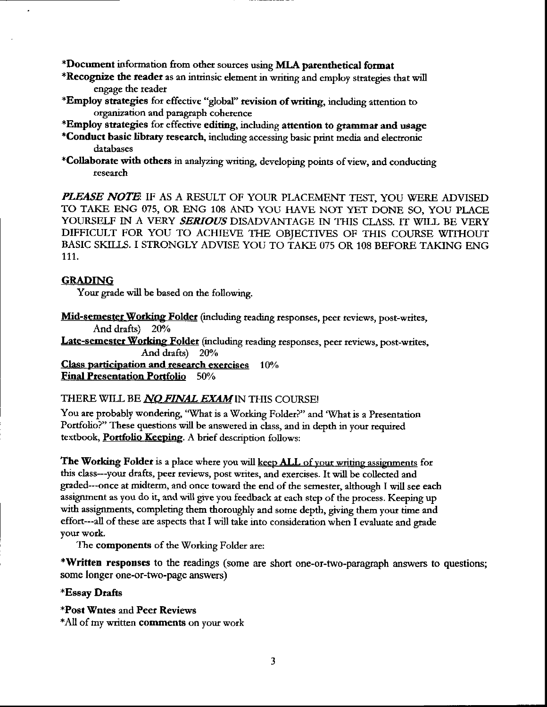\*Document information from other sources using MLA parenthetical format

- \*Recognize the reader as an intrinsic element in writing and employ strategies that will engage the reader
- \*Employ strategies for effective "global" revision of writing, including attention to organization and paragraph coherence
- \*Employ strategies for effective editing, including attention to grammar and usage
- \*Conduct basic library research, including accessing basic print media and electronic databases
- \*Collaborate with others in analyzing writing, developing points of view, and conducting research

PLEASE NOTE IF AS A RESULT OF YOUR PLACEMENT TEST, YOU WERE ADVISED TO TAKE ENG 075, OR ENG 108 AND YOU HAVE NOT YET DONE SO, YOU PLACE YOURSELF IN A VERY SERIOUS DISADVANTAGE IN THIS CLASS. IT WILL BE VERY DIFFICULT FOR YOU TO ACHIEVE THE OBJECTIVES OF THIS COURSE WITHOUT BASIC SKILLS. I STRONGLY ADVISE YOU TO TAKE 075 OR 108 BEFORE TAKING ENG 111.

## **GRADING**

Your grade will be based on the following.

Mid-semester Working Folder (including reading responses, peer reviews, post-writes, And drafts) 20%

Late-semester Working Folder (including reading responses, peer reviews, post-writes, And drafts) 20%

Class participation and research exercises 10% **Final Presentation Portfolio** 50%

## THERE WILL BE *NO FINAL EXAM* IN THIS COURSE!

You are probably wondering, "What is a Working Folder?" and 'What is a Presentation Portfolio?" These questions will be answered in class, and in depth in your required textbook, Portfolio Keeping. A brief description follows:

The Working Folder is a place where you will keep ALL of your writing assignments for this class---your drafts, peer reviews, post writes, and exercises. It will be collected and graded---once at midterm, and once toward the end of the semester, although I will see each assignment as you do it, and will give you feedback at each step of the process. Keeping up with assignments, completing them thoroughly and some depth, giving them your time and effort---all of these are aspects that I will take into consideration when I evaluate and grade your work.

The components of the Working Folder are:

\*Written responses to the readings (some are short one-or-two-paragraph answers to questions; some longer one-or-two-page answers)

## \*Essay Drafts

\*Post Wntes and Peer Reviews

\*All of my written comments on your work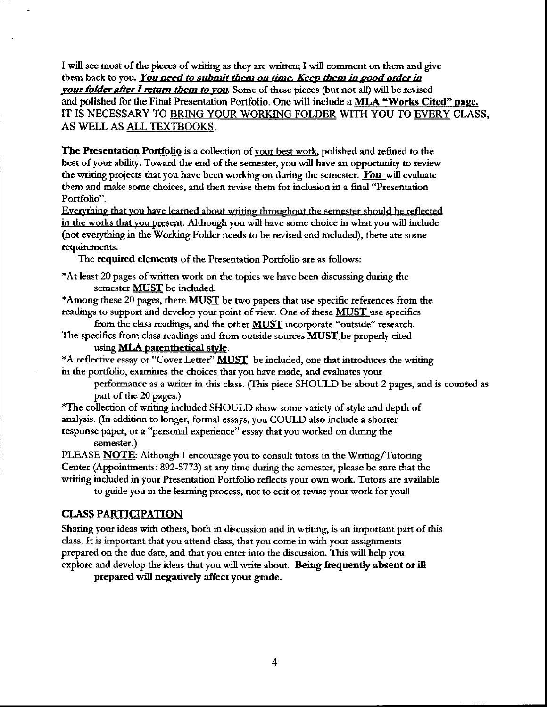I will see most of the pieces of writing as they are written; I will comment on them and give them back to you. You need to submit them on time. Keep them in good order in your folder after I return them to you. Some of these pieces (but not all) will be revised and polished for the Final Presentation Portfolio. One will include a MLA "Works Cited" page. IT IS NECESSARY TO BRING YOUR WORKING FOLDER WITH YOU TO EVERY CLASS, AS WELL AS ALL TEXTBOOKS.

The Presentation Portfolio is a collection of your best work, polished and refined to the best of your ability. Toward the end of the semester, you will have an oppomrnity to review the writing projects that you have been working on during the semester. You will evaluate them and make some choices, and then revise them fot inclusion in a fiaal "Ptesentation Portfolio".

Everything that you have learned about writing throughout the semester should be reflected in the works that you present. Although you will have some choice in what you will include (not everything in the Working Folder needs to be revised and included), there are some requirements.

The required elements of the Presentation Portfolio are as follows:

+At least 20 pages of written wotk on the topics we have been discussing duting the semester **MUST** be included.

\*Among these 20 pages, there  $MUST$  be two papers that use specific references from the readings to support and develop your point of view. One of these MUST use specifics

from the class readings, and the other **MUST** incorporate "outside" research. The specifics from class readings and from outside sources **MUST** be properly cited

using **MLA** parenthetical style.

\*A reflective essay or "Cover Letter" **MUST** be included, one that introduces the writing in the portfolio, examines the choices that you have made, and evaluates your

petformance as a wtitet in this class. (Ihis piece SHOULD be about 2 pages, and is counted as part of the 20 pages)

+The collection of writing included SHOUI-D show some variety of style and depth of analysis. (In addition to longer, formal essays, you COULD also include a shorter response paper, or a "personal experience" essay that you worked on during the semester.)

PLEASE **NOTE**: Although I encourage you to consult tutors in the Writing/Tutoring Center (Appointments: 892-5773) at any time during the semester, please be sure that the writing included in your Presentation Potfolio teflects your own work. Tutors are available

to guide you in the learning process, not to edit or revise your work for you!!

## CLASS PARTICIPATION

Shering your ideas with others, both in discussion and in writing is an impottant pat of this class. It is impotant that you attend class, that you come in with your assignments prepared on the due date, and that you enter into the discussion. This will help you explote and develop the ideas that you will write about. Being frequently absent or il

prepared will negatively affect your grade.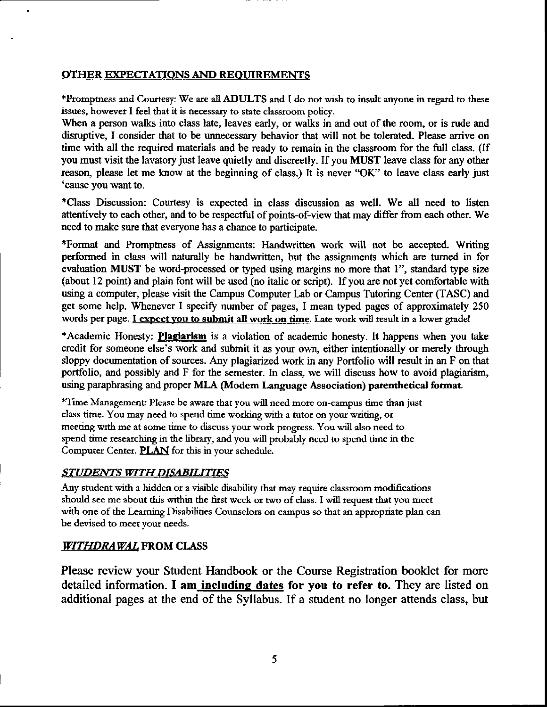## OTHER EKPECTATIONS AND REQUIREMENTS

\*Promptness and Courtesy: We are all ADULTS and I do not wish to insult anyone in regard to these issues, howevet I feel that it is necessary to state classtoom policy.

When a person walks into class late, leaves early, or walks in and out of the room, or is rude and disruptive, I consider that to be unnecessary behavior that will not be tolerated. Please arrive on time with all the required materials and be ready to remain in the classroom for the full class. (If you must visit the lavatory just leave quietly and discreetly. If you MUST leave class for any other reason, please let me know at the beginning of class.) It is never "OK" to leave class early just 'cause you want to.

+Class Discussion: Courtesy is expected in class discussion as well. We all need to listen attentively to each other, and to be respectful of points-of-view that may differ from each other. We need to make sure that everyone has a chance to participate.

\*Format and Promptness of Assignments: Handwritten work will not be accepted. Writing performed in class will naturally be handwritten, but the assignments which are turned in for evaluation MUST be word-processed or typed using margins no more that 1", standard type size (about 12 point) and plain font will be used (no italic or script). If you are not yet comfortable with using a computer, please visit the Campus Computer Lab or Campus Tutoring Center (TASC) and get some help. Whenever I specify number of pages, I mean typed pages of approximately 250 words per page. I expect you to submit all work on time. Late work will result in a lower gradel

\*Academic Honesty: Plagiarism is a violation of academic honesty. It happens when you take credit for someone else's work and submit it as your own, either intentionally or merely tbrough sloppy documentation of sources. Any plagiarized work in any Portfolio will result in an F on that portfolio, and possibly and F for the semester. In class, we will discuss how to avoid plaglarism, using paraphrasing and proper MLA (Modem Language Association) parenthetical format.

+Time Managemenf Please be aware that you will need more on-campus time than iust class time. You may need to spend time working with a tutor on your writing, or meeting with me at some time to discuss your work progress. You will also need to spend time researching in the library, and you will probably need to spend time in the Computer Center. **PLAN** for this in your schedule.

## STUDENTS WITH DISABILITIES

Any student with a hidden or a visible disability that may require classroom modifications should see me about this within the first week or two of class. I will request that you meet with one of the Learning Disabilities Counselors on campus so that an appropriate plan can be devised to meet your needs.

## WITHDRAWAL FROM CLASS

Please review your Student Handbook or the Course Registration booklet for more detailed information. I am including dates for you to refer to. They are listed on additional pages at the end of the Syllabus. If a student no longer attends class, but